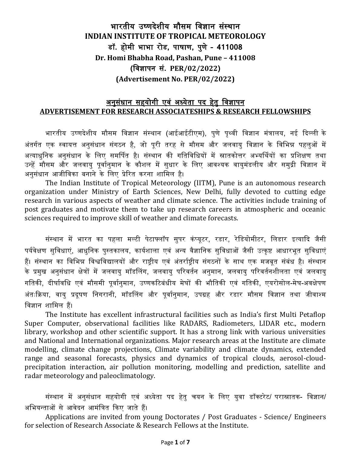# भारतीय उष्णदेशीय मौसम विज्ञान संस्थान **INDIAN INSTITUTE OF TROPICAL METEOROLOGY** डॉ**.** होमी भाभा रोड**,** पाषाण**,** पुणे**– 411008 Dr. Homi Bhabha Road, Pashan, Pune – 411008 (**विज्ञापन सं**. PER/02/2022) (Advertisement No. PER/02/2022)**

#### <u>अनुसंधान सहयोगी एवं अध्येता पद हेतु विज्ञापन</u> **ADVERTISEMENT FOR RESEARCH ASSOCIATESHIPS & RESEARCH FELLOWSHIPS**

भारतीय उष्णदेशीय मौसम विज्ञान संस्थान (आईआईटीएम), पुणे पृथ्वी विज्ञान मंत्रालय, नई दिल्ली के अंतर्गत एक स्वायत्त अनुसंधान संगठन है, जो पूरी तरह से मौसम और जलवायु विज्ञान के विभिन्न पहलुओं में अत्याधुवनक अनुसंधान के वलए समर्पपत है। संस्थान की गवतविवधयों में स्नातकोत्तर अभ्यर्पथयों का प्रवशक्षण तथा उन्हें मौसम और जलवायु पूर्वानुमान के कौशल में सुधार के लिए आवश्यक वायुमंडलीय और समुद्री विज्ञान में अनसंधान आजीविका बनाने के लिए प्रेरित करना शामिल है।

The Indian Institute of Tropical Meteorology (IITM), Pune is an autonomous research organization under Ministry of Earth Sciences, New Delhi, fully devoted to cutting edge research in various aspects of weather and climate science. The activities include training of post graduates and motivate them to take up research careers in atmospheric and oceanic sciences required to improve skill of weather and climate forecasts.

संस्थान में भारत का पहला मल्टी पेटाफ्लॉप सुपर कंप्यूटर, रडार, रेडियोमीटर, लिडार इत्यादि जैसी पर्यवेक्षण सुविधाएं, आधुनिक पुस्तकालय, कार्यशाला एवं अन्य वैज्ञानिक सुविधाओं जैसी उत्कृष्ट आधारभूत सुविधाएं हैं। संस्थान का विभिन्न विश्वविद्यालयों और राष्ट्रीय एवं अंतर्राष्ट्रीय संगठनों के साथ एक मजबूत संबंध है। संस्थान के प्रमुख अनुसंधान क्षेत्रों में जलवायु मॉडलिंग, जलवायु परिवर्तन अनुमान, जलवायु परिवर्तनशीलता एवं जलवायु गतिकी, दीर्घावधि एवं मौसमी पूर्वानुमान, उष्णकटिबंधीय मेघों की भौतिकी एवं गतिकी, एयरोसोल-मेघ-अवक्षेपण अंतःक्रिया, वायु प्रदूषण निगरानी, मॉडलिंग और पूर्वानुमान, उपग्रह और रडार मौसम विज्ञान तथा जीवाश्म विज्ञान शावमल हैं।

The Institute has excellent infrastructural facilities such as India's first Multi Petaflop Super Computer, observational facilities like RADARS, Radiometers, LIDAR etc., modern library, workshop and other scientific support. It has a strong link with various universities and National and International organizations. Major research areas at the Institute are climate modelling, climate change projections, Climate variability and climate dynamics, extended range and seasonal forecasts, physics and dynamics of tropical clouds, aerosol-cloudprecipitation interaction, air pollution monitoring, modelling and prediction, satellite and radar meteorology and paleoclimatology.

संस्थान में अनुसंधान सहयोगी एवं अध्येता पद हेतु चयन के लिए युवा डॉक्टरेट/ परास्नातक- विज्ञान/ अभियन्ताओं से आवेदन आमंत्रित किए जाते हैं।

Applications are invited from young Doctorates / Post Graduates - Science/ Engineers for selection of Research Associate & Research Fellows at the Institute.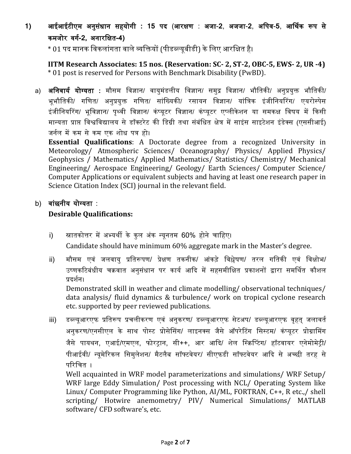**1)** आईआईटीएम अनुसंधान सहयोगी **: 15** पद (आरक्षण : अजा-**2**, अजजा-**2**, अवपि-**5**, आर्पथक रूप से कमजोर िगग**-2,** अनारवक्षत**-4)**

 $\,^* \, 01$  पद मानक विकलांगता वाले व्यक्तियों (पीडब्ल्यूबीडी) के लिए आरक्षित है।

**IITM Research Associates: 15 nos. (Reservation: SC- 2, ST-2, OBC-5, EWS- 2, UR -4)**  \* 01 post is reserved for Persons with Benchmark Disability (PwBD).

a) **अनिवार्य योग्यता :** मौसम विज्ञान/ वायुमंडलीय विज्ञान/ समुद्र विज्ञान/ भौतिकी/ अनुप्रयुक्त भौतिकी/ भूभौतिकी/ गणित/ अनुप्रयुक्त गणित/ सांख्यिकी/ रसायन विज्ञान/ यांत्रिक इंजीनियरिंग/ एयरोस्पेस इंजीनियरिंग/ भूविज्ञान/ पृथ्वी विज्ञान/ कंप्यूटर विज्ञान/ कंप्यूटर एप्लीकेशन या समकक्ष विषय में किसी मान्यता प्राप्त विश्वविद्यालय सेडॉक्टरेट की वडग्री तथा संबंवधत क्षेत्र मेंसाइंस साइटेशन इंडेक्स (एससीआई) जर्नल में कम से कम एक शोध पत्र हो।

**Essential Qualifications**: A Doctorate degree from a recognized University in Meteorology/ Atmospheric Sciences/ Oceanography/ Physics/ Applied Physics/ Geophysics / Mathematics/ Applied Mathematics/ Statistics/ Chemistry/ Mechanical Engineering/ Aerospace Engineering/ Geology/ Earth Sciences/ Computer Science/ Computer Applications or equivalent subjects and having at least one research paper in Science Citation Index (SCI) journal in the relevant field.

#### b) वांछनीय योग्यता :

#### **Desirable Qualifications:**

- i) स्नातकोत्तर में अभ्यर्थी के कुल अंक न्यूनतम 60% होने चाहिए। Candidate should have minimum 60% aggregate mark in the Master's degree.
- ii) मौसम एिं जलिायु प्रवतरूपण/ प्रेक्षण तकनीक/ आंकड़े विश्लेषण/ तरल गवतकी एिं विक्षोभ/ उष्णकटिबंधीय चक्रवात अनुसंधान पर कार्य आदि में सहसमीक्षित प्रकाशनों द्वारा समर्थित कौशल प्रदर्शन।

Demonstrated skill in weather and climate modelling/ observational techniques/ data analysis/ fluid dynamics & turbulence/ work on tropical cyclone research etc. supported by peer reviewed publications.

iii) डब्ल्यूआरएफ प्रतिरूप प्रचलीकरण एवं अनुकरण/ डब्ल्यूआरएफ सेटअप/ डब्ल्यूआरएफ वृहत् जलावर्त अनुकरण/एनसीएल के साथ पोस्ट प्रोसेसिंग/ लाइनक्स जैसे ऑपरेटिंग सिस्टम/ कंप्यूटर प्रोग्रामिंग जैसे पायथन, एआई/एमएल, फोरट्रान, सी++, आर आदि/ शेल स्क्रिप्टिंग/ हॉटवायर एनेमोमेट्री/ पीआईिी/ न्यूमेररकल वसमुलेशन/ मैटलैब सॉफ्टिेयर/ सीएफडी सॉफ्टिेयर आदद से अच्छी तरह से परिचित ।

Well acquainted in WRF model parameterizations and simulations/ WRF Setup/ WRF large Eddy Simulation/ Post processing with NCL/ Operating System like Linux/ Computer Programming like Python, AI/ML, FORTRAN, C++, R etc.,/ shell scripting/ Hotwire anemometry/ PIV/ Numerical Simulations/ MATLAB software/ CFD software's, etc.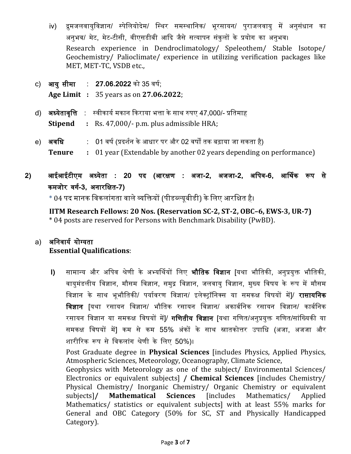- iv) द्रुमजलवायुविज्ञान/ स्पेलियोदेम/ स्थिर समस्थानिक/ भूरसायन/ पुराजलवायु में अनुसंधान का अनुभव/ मेट, मेट-टीसी, वीएसडीबी आदि जैसे सत्यापन संकुलों के प्रयोग का अनुभव। Research experience in Dendroclimatology/ Speleothem/ Stable Isotope/ Geochemistry/ Palioclimate/ experience in utilizing verification packages like MET, MET-TC, VSDB etc.,
- c) **आयुसीमा : 27.06.2022** को 35 वर्ष: **Age Limit :** 35 years as on **27.06.2022**;
- d) अध्येतावृत्ति : स्वीकार्य मकान किराया भत्ता के साथ रुपए 47,000/- प्रतिमाह **Stipend :** Rs. 47,000/- p.m. plus admissible HRA;
- e) अ**वधि : 0**1 वर्ष (प्रदर्शन के आधार पर और 02 वर्षों तक बढ़ाया जा सकता है) **Tenure :** 01 year (Extendable by another 02 years depending on performance)
- **2)** आईआईटीएम अध्येता **: 20** पद **(**आरक्षण **:** अजा**-2,** अजजा**-2,** अवपि**-6,** आर्पथक रूप से कमजोर िगग**-3,** अनारवक्षत**-7)**

 $\,$  \* 04 पद मानक विकलांगता वाले व्यक्तियों (पीडब्ल्यूबीडी) के लिए आरक्षित है।

**IITM Research Fellows: 20 Nos. (Reservation SC-2, ST-2, OBC–6, EWS-3, UR-7)** \* 04 posts are reserved for Persons with Benchmark Disability (PwBD).

### a) अनिवार्य योग्यता **Essential Qualifications**:

**I) सामान्य और अपिव श्रेणी के अभ्यर्थियों लिए <b>भौतिक विज्ञान [**यथा भौतिकी, अनुप्रयुक्त भौतिकी, वायुमंडलीय विज्ञान, मौसम विज्ञान, समुद्र विज्ञान, जलवायु विज्ञान, मुख्य विषय के रूप में मौसम विज्ञान के साथ भूभौवतकी/ पयागिरण विज्ञान/ इलेक्ट्रॉवनक्स या समकक्ष विषयों में]/ रासायवनक विज्ञान [यथा रसायन विज्ञान/ भौतिक रसायन विज्ञान/ अकार्बनिक रसायन विज्ञान/ कार्बनिक रसायन विज्ञान या समकक्ष विषयों में]/ **गणितीय विज्ञान** [यथा गणित/अनुप्रयुक्त गणित/सांख्यिकी या समकक्ष विषयों में] कम से कम 55% अंकों के साथ स्नातकोत्तर उपावध (अजा, अजजा और शारीररक रूप सेविकलांग श्रेणी के वलए 50%)।

Post Graduate degree in **Physical Sciences** [includes Physics, Applied Physics, Atmospheric Sciences, Meteorology, Oceanography, Climate Science,

Geophysics with Meteorology as one of the subject/ Environmental Sciences/ Electronics or equivalent subjects] **/ Chemical Sciences** [includes Chemistry/ Physical Chemistry/ Inorganic Chemistry/ Organic Chemistry or equivalent subjects]**/ Mathematical Sciences** [includes Mathematics/ Applied Mathematics/ statistics or equivalent subjects] with at least 55% marks for General and OBC Category (50% for SC, ST and Physically Handicapped Category).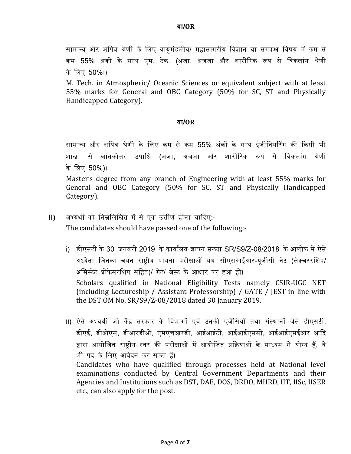सामान्य और अपिव श्रेणी के लिए वायुमंडलीय/ महासागरीय विज्ञान या समकक्ष विषय में कम से कम 55% अंकों के साथ एम. टेक. (अजा, अजजा और शारीररक रूप से विकलांग श्रेणी के वलए 50%।)

M. Tech. in Atmospheric/ Oceanic Sciences or equivalent subject with at least 55% marks for General and OBC Category (50% for SC, ST and Physically Handicapped Category).

#### या**/OR**

सामान्य और अवपि श्रेणी के वलए कम से कम 55% अंकों के साथ इंजीवनयररग की दकसी भी शाखा से स्नातकोत्तर उपावध (अजा, अजजा और शारीररक रूप से विकलांग श्रेणी के वलए 50%)।

Master's degree from any branch of Engineering with at least 55% marks for General and OBC Category (50% for SC, ST and Physically Handicapped Category).

- **II) अभ्यर्थी को निम्नलिखित में से एक उत्तीर्ण होना चाहिए:-**The candidates should have passed one of the following:
	- i) डीएसटी के 30 जनिरी 2019 के कायागलय ज्ञापन संयया SR/S9/Z-08/2018 के आलोक में ऐसे अध्येता वजनका चयन राष्ट्रीय पात्रता परीक्षाओं यथा सीएसआईआर-यूजीसी नेट (लेक्चररवशप/ अवसस्टेंट प्रोफे सरवशप सवहत)/ गेट/ जेस्ट के आधार पर हुआ हो। Scholars qualified in National Eligibility Tests namely CSIR-UGC NET (including Lectureship / Assistant Professorship) / GATE / JEST in line with the DST OM No. SR/S9/Z-08/2018 dated 30 January 2019.
	- ii) ऐसे अभ्यर्थी जो केंद्र सरकार के विभागों एवं उनकी एजेंसियों तथा संस्थानों जैसे डीएसटी, डीएई, डीओएस, डीआरडीओ, एमएचआरडी, आईआईटी, आईआईएससी, आईआईएसईआर आदद द्वारा आयोजित राष्टीय स्तर की परीक्षाओं में आयोजित प्रक्रियाओं के माध्यम से योग्य हैं, वे भी पद के लिए आवेदन कर सकते हैं। Candidates who have qualified through processes held at National level examinations conducted by Central Government Departments and their Agencies and Institutions such as DST, DAE, DOS, DRDO, MHRD, IIT, IISc, IISER etc., can also apply for the post.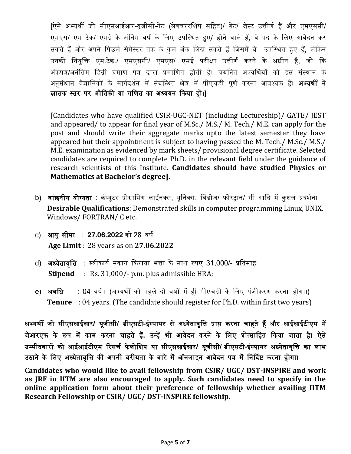[ऐसे अभ्यथी जो सीएसआईआर-यूजीसी-नेट (लेक्चररवशप सवहत)/ गेट/ जेस्ट उत्तीणग हैं और एमएससी/ एमएस/ एम टेक/ एमई के अंतिम वर्ष के लिए उपस्थित हुए/ होने वाले हैं, वे पद के लिए आवेदन कर सकते हैं और अपने पिछले सेमेस्टर तक के कुल अंक लिख सकते हैं जिसमें वे उपस्थित हुए हैं, लेकिन उनकी वनयुवि एम.टेक./ एमएससी/ एमएस/ एमई परीक्षा उत्तीणग करने के अधीन है, जो दक अंकपत्र/अनंवतम वडग्री प्रमाण पत्र द्वारा प्रमावणत होती है। चयवनत अभ्यर्पथयों को इस संस्थान के अनुसंधान वैज्ञानिकों के मार्गदर्शन में संबन्धित क्षेत्र में पीएचडी पुर्ण करना आवश्यक है। **अभ्यर्थी ने** स्रातक स्तर पर भौतिकी या गणित का अध्ययन किया हो।]

[Candidates who have qualified CSIR-UGC-NET (including Lectureship)/ GATE/ JEST and appeared/ to appear for final year of M.Sc./ M.S./ M. Tech./ M.E. can apply for the post and should write their aggregate marks upto the latest semester they have appeared but their appointment is subject to having passed the M. Tech./ M.Sc./ M.S./ M.E. examination as evidenced by mark sheets/ provisional degree certificate. Selected candidates are required to complete Ph.D. in the relevant field under the guidance of research scientists of this Institute. **Candidates should have studied Physics or Mathematics at Bachelor's degree].**

- b) वांछनीय योग्यता : कंप्यूटर प्रोग्रामिंग लाईनक्स, यूनिक्स, विंडोज/ फोरट्रान/ सी आदि में कुशल प्रदर्शन। **Desirable Qualifications**: Demonstrated skills in computer programming Linux, UNIX, Windows/ FORTRAN/ C etc.
- c) आयुसीमा : 27.06.2022 को 28 वर्ष **Age Limit** : 28 years as on **27.06.2022**
- d) अध्येतावृत्ति : स्वीकार्य मकान किराया भत्ता के साथ रुपए 31,000/- प्रतिमाह **Stipend** : Rs. 31,000/- p.m. plus admissible HRA;
- e) <mark>अवधि : 04</mark> वर्ष। (अभ्यर्थी को पहले दो वर्षों में ही पीएचडी के लिए पंजीकरण करना होगा।) **Tenure** : 04 years. (The candidate should register for Ph.D. within first two years)

अभ्यथी जो सीएसआईआर**/** यूजीसी**/** डीएसटी**-**इंस्पायर सेअध्येतािृवत्त प्राप्त करना चाहते हैंऔर आईआईटीएम में जेआरएफ के रूप में काम करना चाहते हैं**,** उन्हें भी आिेदन करने के वलए प्रोत्सावहत दकया जाता है। ऐसे उम्मीदवारों को आईआईटीएम रिसर्च फेलोशिप या सीएसआईआर/ यूजीसी/ डीएसटी-इंस्पायर अध्येतावृत्ति का लाभ उठाने के लिए अध्येतावृत्ति की अपनी वरीयता के बारे में ऑनलाइन आवेदन पत्र में निर्दिष्ट करना होगा।

**Candidates who would like to avail fellowship from CSIR/ UGC/ DST-INSPIRE and work as JRF in IITM are also encouraged to apply. Such candidates need to specify in the online application form about their preference of fellowship whether availing IITM Research Fellowship or CSIR/ UGC/ DST-INSPIRE fellowship.**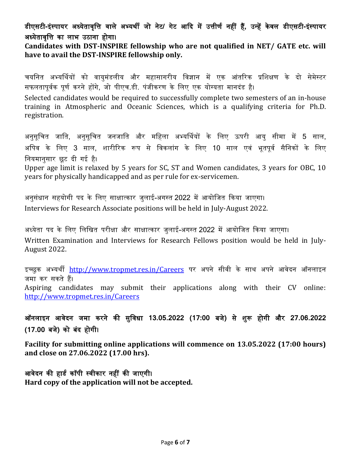## डीएसटी**-**इंस्पायर अध्येतािृवत्त िाले अभ्यथी जो नेट**/** गेट आदद मेंउत्तीणग नहीं हैं**,** उन्हेंके िल डीएसटी**-**इंस्पायर अध्येतावृत्ति का लाभ उठाना होगा।

**Candidates with DST-INSPIRE fellowship who are not qualified in NET/ GATE etc. will have to avail the DST-INSPIRE fellowship only.** 

चयनित अभ्यर्थियों को वायुमंडलीय और महासागरीय विज्ञान में एक आंतरिक प्रशिक्षण के दो सेमेस्टर सफलतापूर्वक पूर्ण करने होंगे, जो पीएच.डी. पंजीकरण के लिए एक योग्यता मानदंड है।

Selected candidates would be required to successfully complete two semesters of an in-house training in Atmospheric and Oceanic Sciences, which is a qualifying criteria for Ph.D. registration.

अनुसूवचत जावत, अनुसूवचत जनजावत और मवहला अभ्यर्पथयों के वलए ऊपरी आयु सीमा में 5 साल, अपिव के लिए 3 साल, शारीरिक रूप से विकलांग के लिए 10 साल एवं भूतपूर्व सैनिकों के लिए वनयमानुसार छूट दी गई है।

Upper age limit is relaxed by 5 years for SC, ST and Women candidates, 3 years for OBC, 10 years for physically handicapped and as per rule for ex-servicemen.

अनुसंधान सहयोगी पद के लिए साक्षात्कार जुलाई-अगस्त 2022 में आयोजित किया जाएगा। Interviews for Research Associate positions will be held in July-August 2022.

अध्येता पद के लिए लिखित परीक्षा और साक्षात्कार जुलाई-अगस्त 2022 में आयोजित किया जाएगा। Written Examination and Interviews for Research Fellows position would be held in July-August 2022.

इच्छुक अभ्यर्थी <http://www.tropmet.res.in/Careers> पर अपने सीवी के साथ अपने आवेदन ऑनलाइन जमा कर सकतेहैं।

Aspiring candidates may submit their applications along with their CV online: <http://www.tropmet.res.in/Careers>

ऑनलाइन आिेदन जमा करने की सुविधा **13.05.2022 (17:00** बजे**)** से शुरू होगी और **27.06.2022 (17.00** बजे**)** को बंद होगी।

**Facility for submitting online applications will commence on 13.05.2022 (17:00 hours) and close on 27.06.2022 (17.00 hrs).** 

आवेदन की हार्ड कॉपी स्वीकार नहीं की जाएगी। **Hard copy of the application will not be accepted.**